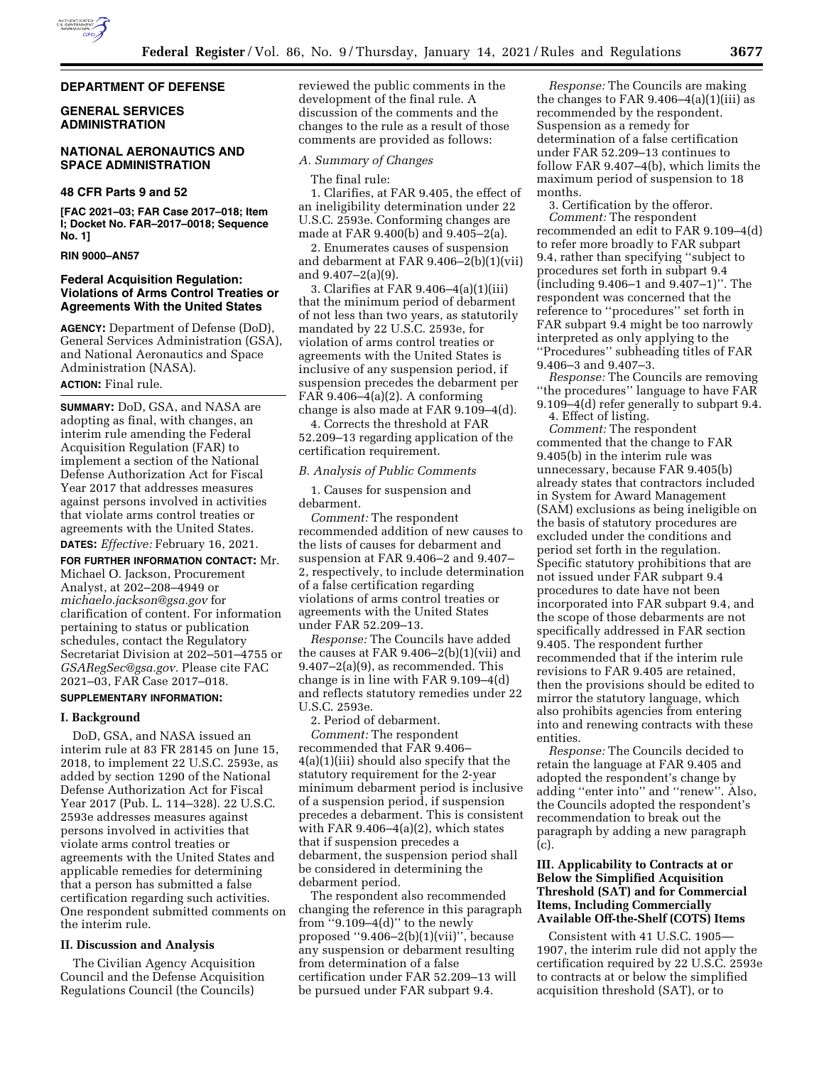## **DEPARTMENT OF DEFENSE**

## **GENERAL SERVICES ADMINISTRATION**

## **NATIONAL AERONAUTICS AND SPACE ADMINISTRATION**

## **48 CFR Parts 9 and 52**

**[FAC 2021–03; FAR Case 2017–018; Item I; Docket No. FAR–2017–0018; Sequence No. 1]** 

#### **RIN 9000–AN57**

## **Federal Acquisition Regulation: Violations of Arms Control Treaties or Agreements With the United States**

**AGENCY:** Department of Defense (DoD), General Services Administration (GSA), and National Aeronautics and Space Administration (NASA).

## **ACTION:** Final rule.

**SUMMARY:** DoD, GSA, and NASA are adopting as final, with changes, an interim rule amending the Federal Acquisition Regulation (FAR) to implement a section of the National Defense Authorization Act for Fiscal Year 2017 that addresses measures against persons involved in activities that violate arms control treaties or agreements with the United States.

**DATES:** *Effective:* February 16, 2021.

**FOR FURTHER INFORMATION CONTACT:** Mr. Michael O. Jackson, Procurement Analyst, at 202–208–4949 or *[michaelo.jackson@gsa.gov](mailto:michaelo.jackson@gsa.gov)* for clarification of content. For information pertaining to status or publication schedules, contact the Regulatory Secretariat Division at 202–501–4755 or *[GSARegSec@gsa.gov.](mailto:GSARegSec@gsa.gov)* Please cite FAC 2021–03, FAR Case 2017–018.

# **SUPPLEMENTARY INFORMATION:**

#### **I. Background**

DoD, GSA, and NASA issued an interim rule at 83 FR 28145 on June 15, 2018, to implement 22 U.S.C. 2593e, as added by section 1290 of the National Defense Authorization Act for Fiscal Year 2017 (Pub. L. 114–328). 22 U.S.C. 2593e addresses measures against persons involved in activities that violate arms control treaties or agreements with the United States and applicable remedies for determining that a person has submitted a false certification regarding such activities. One respondent submitted comments on the interim rule.

## **II. Discussion and Analysis**

The Civilian Agency Acquisition Council and the Defense Acquisition Regulations Council (the Councils)

reviewed the public comments in the development of the final rule. A discussion of the comments and the changes to the rule as a result of those comments are provided as follows:

#### *A. Summary of Changes*

The final rule:

1. Clarifies, at FAR 9.405, the effect of an ineligibility determination under 22 U.S.C. 2593e. Conforming changes are made at FAR 9.400(b) and 9.405–2(a).

2. Enumerates causes of suspension and debarment at FAR 9.406–2(b)(1)(vii) and 9.407–2(a)(9).

3. Clarifies at FAR 9.406–4(a)(1)(iii) that the minimum period of debarment of not less than two years, as statutorily mandated by 22 U.S.C. 2593e, for violation of arms control treaties or agreements with the United States is inclusive of any suspension period, if suspension precedes the debarment per FAR  $9.406-4(a)(2)$ . A conforming change is also made at FAR 9.109–4(d).

4. Corrects the threshold at FAR 52.209–13 regarding application of the certification requirement.

#### *B. Analysis of Public Comments*

1. Causes for suspension and debarment.

*Comment:* The respondent recommended addition of new causes to the lists of causes for debarment and suspension at FAR 9.406–2 and 9.407– 2, respectively, to include determination of a false certification regarding violations of arms control treaties or agreements with the United States under FAR 52.209–13.

*Response:* The Councils have added the causes at FAR 9.406–2(b)(1)(vii) and 9.407–2(a)(9), as recommended. This change is in line with FAR 9.109–4(d) and reflects statutory remedies under 22 U.S.C. 2593e.

2. Period of debarment.

*Comment:* The respondent recommended that FAR 9.406– 4(a)(1)(iii) should also specify that the statutory requirement for the 2-year minimum debarment period is inclusive of a suspension period, if suspension precedes a debarment. This is consistent with FAR 9.406–4(a)(2), which states that if suspension precedes a debarment, the suspension period shall be considered in determining the debarment period.

The respondent also recommended changing the reference in this paragraph from "9.109 $-4(d)$ " to the newly proposed "9.406 $-2(b)(1)(vii)$ ", because any suspension or debarment resulting from determination of a false certification under FAR 52.209–13 will be pursued under FAR subpart 9.4.

*Response:* The Councils are making the changes to FAR  $9.406 - 4(a)(1)(iii)$  as recommended by the respondent. Suspension as a remedy for determination of a false certification under FAR 52.209–13 continues to follow FAR 9.407–4(b), which limits the maximum period of suspension to 18 months.

3. Certification by the offeror. *Comment:* The respondent recommended an edit to FAR 9.109–4(d) to refer more broadly to FAR subpart 9.4, rather than specifying ''subject to procedures set forth in subpart 9.4 (including 9.406–1 and 9.407–1)''. The respondent was concerned that the reference to ''procedures'' set forth in FAR subpart 9.4 might be too narrowly interpreted as only applying to the ''Procedures'' subheading titles of FAR 9.406–3 and 9.407–3.

*Response:* The Councils are removing ''the procedures'' language to have FAR 9.109–4(d) refer generally to subpart 9.4.

4. Effect of listing.

*Comment:* The respondent commented that the change to FAR 9.405(b) in the interim rule was unnecessary, because FAR 9.405(b) already states that contractors included in System for Award Management (SAM) exclusions as being ineligible on the basis of statutory procedures are excluded under the conditions and period set forth in the regulation. Specific statutory prohibitions that are not issued under FAR subpart 9.4 procedures to date have not been incorporated into FAR subpart 9.4, and the scope of those debarments are not specifically addressed in FAR section 9.405. The respondent further recommended that if the interim rule revisions to FAR 9.405 are retained, then the provisions should be edited to mirror the statutory language, which also prohibits agencies from entering into and renewing contracts with these entities.

*Response:* The Councils decided to retain the language at FAR 9.405 and adopted the respondent's change by adding ''enter into'' and ''renew''. Also, the Councils adopted the respondent's recommendation to break out the paragraph by adding a new paragraph (c).

## **III. Applicability to Contracts at or Below the Simplified Acquisition Threshold (SAT) and for Commercial Items, Including Commercially Available Off-the-Shelf (COTS) Items**

Consistent with 41 U.S.C. 1905— 1907, the interim rule did not apply the certification required by 22 U.S.C. 2593e to contracts at or below the simplified acquisition threshold (SAT), or to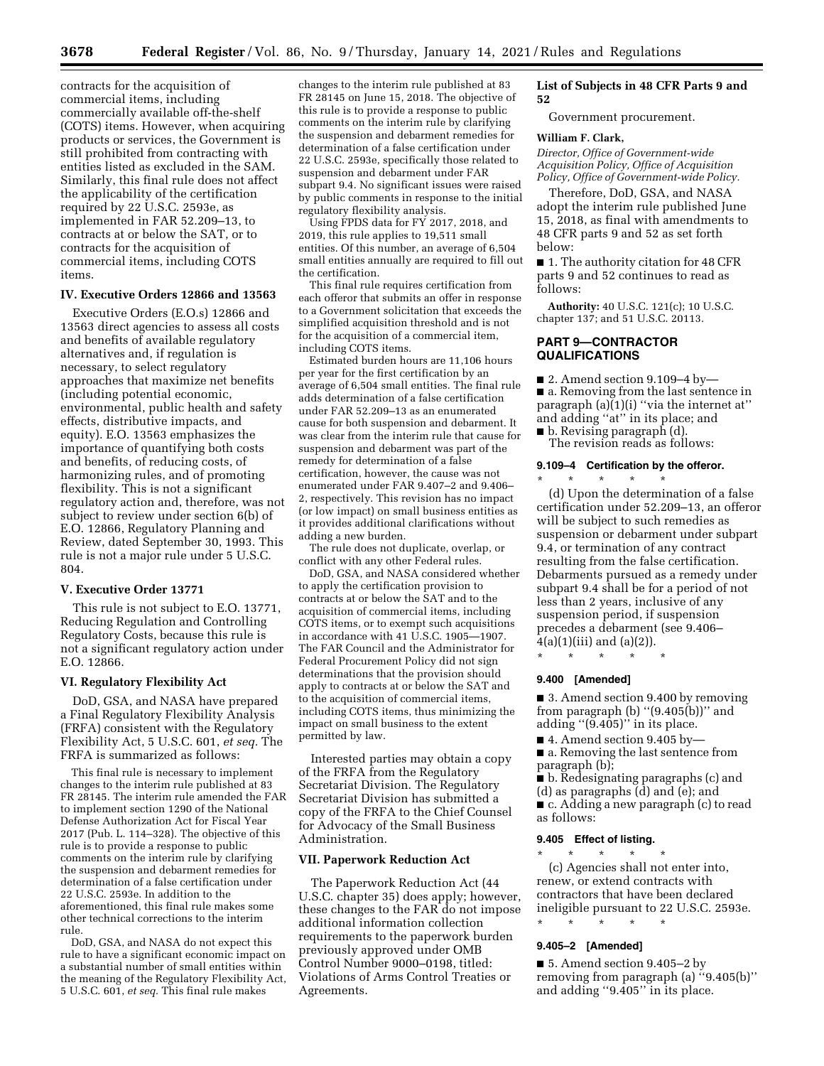contracts for the acquisition of commercial items, including commercially available off-the-shelf (COTS) items. However, when acquiring products or services, the Government is still prohibited from contracting with entities listed as excluded in the SAM. Similarly, this final rule does not affect the applicability of the certification required by 22 U.S.C. 2593e, as implemented in FAR 52.209–13, to contracts at or below the SAT, or to contracts for the acquisition of commercial items, including COTS items.

## **IV. Executive Orders 12866 and 13563**

Executive Orders (E.O.s) 12866 and 13563 direct agencies to assess all costs and benefits of available regulatory alternatives and, if regulation is necessary, to select regulatory approaches that maximize net benefits (including potential economic, environmental, public health and safety effects, distributive impacts, and equity). E.O. 13563 emphasizes the importance of quantifying both costs and benefits, of reducing costs, of harmonizing rules, and of promoting flexibility. This is not a significant regulatory action and, therefore, was not subject to review under section 6(b) of E.O. 12866, Regulatory Planning and Review, dated September 30, 1993. This rule is not a major rule under 5 U.S.C. 804.

#### **V. Executive Order 13771**

This rule is not subject to E.O. 13771, Reducing Regulation and Controlling Regulatory Costs, because this rule is not a significant regulatory action under E.O. 12866.

#### **VI. Regulatory Flexibility Act**

DoD, GSA, and NASA have prepared a Final Regulatory Flexibility Analysis (FRFA) consistent with the Regulatory Flexibility Act, 5 U.S.C. 601, *et seq.* The FRFA is summarized as follows:

This final rule is necessary to implement changes to the interim rule published at 83 FR 28145. The interim rule amended the FAR to implement section 1290 of the National Defense Authorization Act for Fiscal Year 2017 (Pub. L. 114–328). The objective of this rule is to provide a response to public comments on the interim rule by clarifying the suspension and debarment remedies for determination of a false certification under 22 U.S.C. 2593e. In addition to the aforementioned, this final rule makes some other technical corrections to the interim rule.

DoD, GSA, and NASA do not expect this rule to have a significant economic impact on a substantial number of small entities within the meaning of the Regulatory Flexibility Act, 5 U.S.C. 601, *et seq.* This final rule makes

changes to the interim rule published at 83 FR 28145 on June 15, 2018. The objective of this rule is to provide a response to public comments on the interim rule by clarifying the suspension and debarment remedies for determination of a false certification under 22 U.S.C. 2593e, specifically those related to suspension and debarment under FAR subpart 9.4. No significant issues were raised by public comments in response to the initial regulatory flexibility analysis.

Using FPDS data for FY 2017, 2018, and 2019, this rule applies to 19,511 small entities. Of this number, an average of 6,504 small entities annually are required to fill out the certification.

This final rule requires certification from each offeror that submits an offer in response to a Government solicitation that exceeds the simplified acquisition threshold and is not for the acquisition of a commercial item, including COTS items.

Estimated burden hours are 11,106 hours per year for the first certification by an average of 6,504 small entities. The final rule adds determination of a false certification under FAR 52.209–13 as an enumerated cause for both suspension and debarment. It was clear from the interim rule that cause for suspension and debarment was part of the remedy for determination of a false certification, however, the cause was not enumerated under FAR 9.407–2 and 9.406– 2, respectively. This revision has no impact (or low impact) on small business entities as it provides additional clarifications without adding a new burden.

The rule does not duplicate, overlap, or conflict with any other Federal rules.

DoD, GSA, and NASA considered whether to apply the certification provision to contracts at or below the SAT and to the acquisition of commercial items, including COTS items, or to exempt such acquisitions in accordance with 41  $\overline{U}$ .S.C. 1905 $-$ 1907. The FAR Council and the Administrator for Federal Procurement Policy did not sign determinations that the provision should apply to contracts at or below the SAT and to the acquisition of commercial items, including COTS items, thus minimizing the impact on small business to the extent permitted by law.

Interested parties may obtain a copy of the FRFA from the Regulatory Secretariat Division. The Regulatory Secretariat Division has submitted a copy of the FRFA to the Chief Counsel for Advocacy of the Small Business Administration.

#### **VII. Paperwork Reduction Act**

The Paperwork Reduction Act (44 U.S.C. chapter 35) does apply; however, these changes to the FAR do not impose additional information collection requirements to the paperwork burden previously approved under OMB Control Number 9000–0198, titled: Violations of Arms Control Treaties or Agreements.

#### **List of Subjects in 48 CFR Parts 9 and 52**

Government procurement.

#### **William F. Clark,**

*Director, Office of Government-wide Acquisition Policy, Office of Acquisition Policy, Office of Government-wide Policy.* 

Therefore, DoD, GSA, and NASA adopt the interim rule published June 15, 2018, as final with amendments to 48 CFR parts 9 and 52 as set forth below:

■ 1. The authority citation for 48 CFR parts 9 and 52 continues to read as follows:

**Authority:** 40 U.S.C. 121(c); 10 U.S.C. chapter 137; and 51 U.S.C. 20113.

## **PART 9—CONTRACTOR QUALIFICATIONS**

 $\blacksquare$  2. Amend section 9.109–4 by— ■ a. Removing from the last sentence in paragraph  $(a)(1)(i)$  "via the internet at" and adding ''at'' in its place; and

■ b. Revising paragraph (d). The revision reads as follows:

#### **9.109–4 Certification by the offeror.**

\* \* \* \* \* (d) Upon the determination of a false certification under 52.209–13, an offeror will be subject to such remedies as suspension or debarment under subpart 9.4, or termination of any contract resulting from the false certification. Debarments pursued as a remedy under subpart 9.4 shall be for a period of not less than 2 years, inclusive of any suspension period, if suspension precedes a debarment (see 9.406–  $4(a)(1)(iii)$  and  $(a)(2)$ ). \* \* \* \* \*

## **9.400 [Amended]**

■ 3. Amend section 9.400 by removing from paragraph (b)  $''(9.405(b))''$  and adding ''(9.405)'' in its place.

■ 4. Amend section 9.405 by—

■ a. Removing the last sentence from paragraph (b);

- b. Redesignating paragraphs (c) and
- (d) as paragraphs (d) and (e); and

■ c. Adding a new paragraph (c) to read as follows:

## **9.405 Effect of listing.**  \* \* \* \* \*

(c) Agencies shall not enter into, renew, or extend contracts with contractors that have been declared ineligible pursuant to 22 U.S.C. 2593e. \* \* \* \* \*

## **9.405–2 [Amended]**

■ 5. Amend section 9.405–2 by removing from paragraph (a) ''9.405(b)'' and adding ''9.405'' in its place.